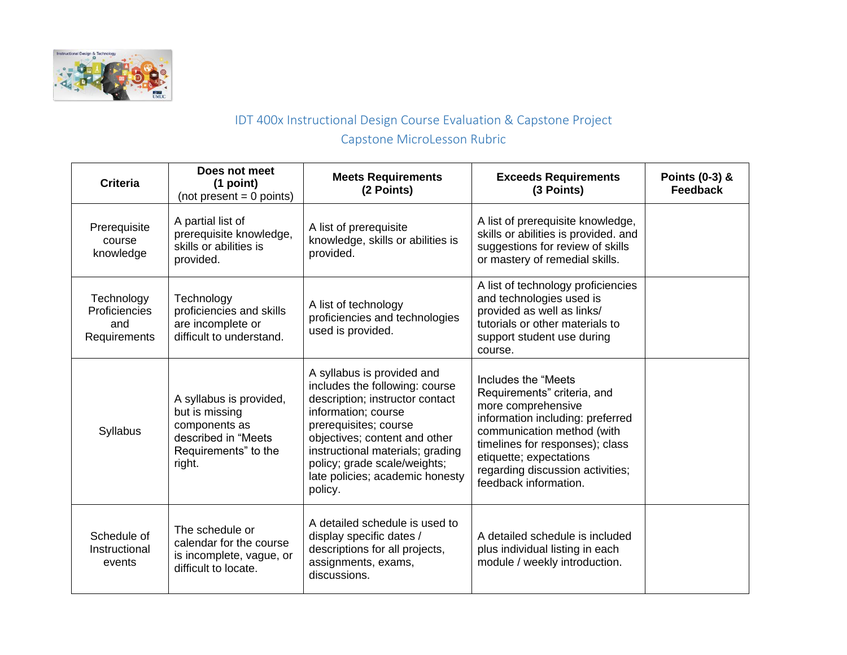

## IDT 400x Instructional Design Course Evaluation & Capstone Project Capstone MicroLesson Rubric

| <b>Criteria</b>                                    | Does not meet<br>(1 point)<br>$(not present = 0 points)$                                                            | <b>Meets Requirements</b><br>(2 Points)                                                                                                                                                                                                                                                            | <b>Exceeds Requirements</b><br>(3 Points)                                                                                                                                                                                                                              | Points (0-3) &<br><b>Feedback</b> |
|----------------------------------------------------|---------------------------------------------------------------------------------------------------------------------|----------------------------------------------------------------------------------------------------------------------------------------------------------------------------------------------------------------------------------------------------------------------------------------------------|------------------------------------------------------------------------------------------------------------------------------------------------------------------------------------------------------------------------------------------------------------------------|-----------------------------------|
| Prerequisite<br>course<br>knowledge                | A partial list of<br>prerequisite knowledge,<br>skills or abilities is<br>provided.                                 | A list of prerequisite<br>knowledge, skills or abilities is<br>provided.                                                                                                                                                                                                                           | A list of prerequisite knowledge,<br>skills or abilities is provided. and<br>suggestions for review of skills<br>or mastery of remedial skills.                                                                                                                        |                                   |
| Technology<br>Proficiencies<br>and<br>Requirements | Technology<br>proficiencies and skills<br>are incomplete or<br>difficult to understand.                             | A list of technology<br>proficiencies and technologies<br>used is provided.                                                                                                                                                                                                                        | A list of technology proficiencies<br>and technologies used is<br>provided as well as links/<br>tutorials or other materials to<br>support student use during<br>course.                                                                                               |                                   |
| Syllabus                                           | A syllabus is provided,<br>but is missing<br>components as<br>described in "Meets<br>Requirements" to the<br>right. | A syllabus is provided and<br>includes the following: course<br>description; instructor contact<br>information; course<br>prerequisites; course<br>objectives; content and other<br>instructional materials; grading<br>policy; grade scale/weights;<br>late policies; academic honesty<br>policy. | Includes the "Meets"<br>Requirements" criteria, and<br>more comprehensive<br>information including: preferred<br>communication method (with<br>timelines for responses); class<br>etiquette; expectations<br>regarding discussion activities;<br>feedback information. |                                   |
| Schedule of<br>Instructional<br>events             | The schedule or<br>calendar for the course<br>is incomplete, vague, or<br>difficult to locate.                      | A detailed schedule is used to<br>display specific dates /<br>descriptions for all projects,<br>assignments, exams,<br>discussions.                                                                                                                                                                | A detailed schedule is included<br>plus individual listing in each<br>module / weekly introduction.                                                                                                                                                                    |                                   |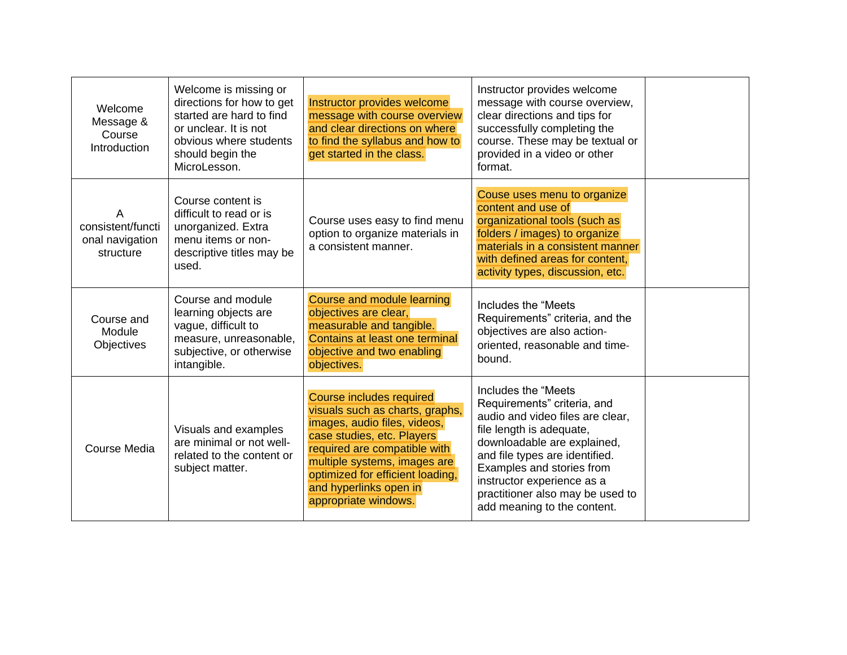| Welcome<br>Message &<br>Course<br>Introduction         | Welcome is missing or<br>directions for how to get<br>started are hard to find<br>or unclear. It is not<br>obvious where students<br>should begin the<br>MicroLesson. | Instructor provides welcome<br>message with course overview<br>and clear directions on where<br>to find the syllabus and how to<br>get started in the class.                                                                                                                    | Instructor provides welcome<br>message with course overview,<br>clear directions and tips for<br>successfully completing the<br>course. These may be textual or<br>provided in a video or other<br>format.                                                                                                         |  |
|--------------------------------------------------------|-----------------------------------------------------------------------------------------------------------------------------------------------------------------------|---------------------------------------------------------------------------------------------------------------------------------------------------------------------------------------------------------------------------------------------------------------------------------|--------------------------------------------------------------------------------------------------------------------------------------------------------------------------------------------------------------------------------------------------------------------------------------------------------------------|--|
| А<br>consistent/functi<br>onal navigation<br>structure | Course content is<br>difficult to read or is<br>unorganized. Extra<br>menu items or non-<br>descriptive titles may be<br>used.                                        | Course uses easy to find menu<br>option to organize materials in<br>a consistent manner.                                                                                                                                                                                        | Couse uses menu to organize<br>content and use of<br>organizational tools (such as<br>folders / images) to organize<br>materials in a consistent manner<br>with defined areas for content,<br>activity types, discussion, etc.                                                                                     |  |
| Course and<br>Module<br><b>Objectives</b>              | Course and module<br>learning objects are<br>vague, difficult to<br>measure, unreasonable,<br>subjective, or otherwise<br>intangible.                                 | Course and module learning<br>objectives are clear,<br>measurable and tangible.<br>Contains at least one terminal<br>objective and two enabling<br>objectives.                                                                                                                  | Includes the "Meets"<br>Requirements" criteria, and the<br>objectives are also action-<br>oriented, reasonable and time-<br>bound.                                                                                                                                                                                 |  |
| Course Media                                           | Visuals and examples<br>are minimal or not well-<br>related to the content or<br>subject matter.                                                                      | Course includes required<br>visuals such as charts, graphs,<br>images, audio files, videos,<br>case studies, etc. Players<br>required are compatible with<br>multiple systems, images are<br>optimized for efficient loading,<br>and hyperlinks open in<br>appropriate windows. | Includes the "Meets"<br>Requirements" criteria, and<br>audio and video files are clear,<br>file length is adequate,<br>downloadable are explained,<br>and file types are identified.<br>Examples and stories from<br>instructor experience as a<br>practitioner also may be used to<br>add meaning to the content. |  |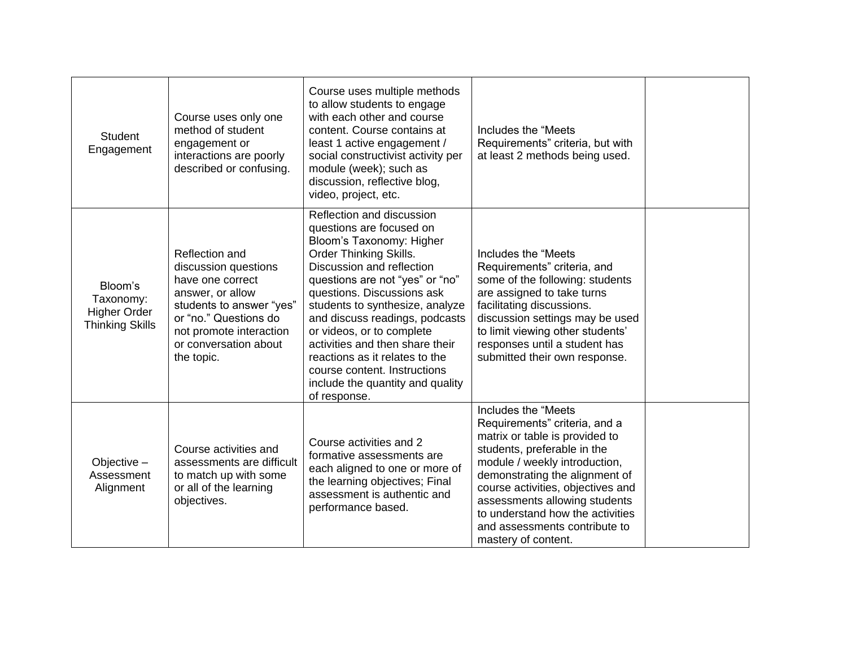| <b>Student</b><br>Engagement                                          | Course uses only one<br>method of student<br>engagement or<br>interactions are poorly<br>described or confusing.                                                                                      | Course uses multiple methods<br>to allow students to engage<br>with each other and course<br>content. Course contains at<br>least 1 active engagement /<br>social constructivist activity per<br>module (week); such as<br>discussion, reflective blog,<br>video, project, etc.                                                                                                                                                                                      | Includes the "Meets"<br>Requirements" criteria, but with<br>at least 2 methods being used.                                                                                                                                                                                                                                                                 |  |
|-----------------------------------------------------------------------|-------------------------------------------------------------------------------------------------------------------------------------------------------------------------------------------------------|----------------------------------------------------------------------------------------------------------------------------------------------------------------------------------------------------------------------------------------------------------------------------------------------------------------------------------------------------------------------------------------------------------------------------------------------------------------------|------------------------------------------------------------------------------------------------------------------------------------------------------------------------------------------------------------------------------------------------------------------------------------------------------------------------------------------------------------|--|
| Bloom's<br>Taxonomy:<br><b>Higher Order</b><br><b>Thinking Skills</b> | Reflection and<br>discussion questions<br>have one correct<br>answer, or allow<br>students to answer "yes"<br>or "no." Questions do<br>not promote interaction<br>or conversation about<br>the topic. | Reflection and discussion<br>questions are focused on<br>Bloom's Taxonomy: Higher<br>Order Thinking Skills.<br>Discussion and reflection<br>questions are not "yes" or "no"<br>questions. Discussions ask<br>students to synthesize, analyze<br>and discuss readings, podcasts<br>or videos, or to complete<br>activities and then share their<br>reactions as it relates to the<br>course content. Instructions<br>include the quantity and quality<br>of response. | Includes the "Meets"<br>Requirements" criteria, and<br>some of the following: students<br>are assigned to take turns<br>facilitating discussions.<br>discussion settings may be used<br>to limit viewing other students'<br>responses until a student has<br>submitted their own response.                                                                 |  |
| Objective -<br>Assessment<br>Alignment                                | Course activities and<br>assessments are difficult<br>to match up with some<br>or all of the learning<br>objectives.                                                                                  | Course activities and 2<br>formative assessments are<br>each aligned to one or more of<br>the learning objectives; Final<br>assessment is authentic and<br>performance based.                                                                                                                                                                                                                                                                                        | Includes the "Meets<br>Requirements" criteria, and a<br>matrix or table is provided to<br>students, preferable in the<br>module / weekly introduction,<br>demonstrating the alignment of<br>course activities, objectives and<br>assessments allowing students<br>to understand how the activities<br>and assessments contribute to<br>mastery of content. |  |